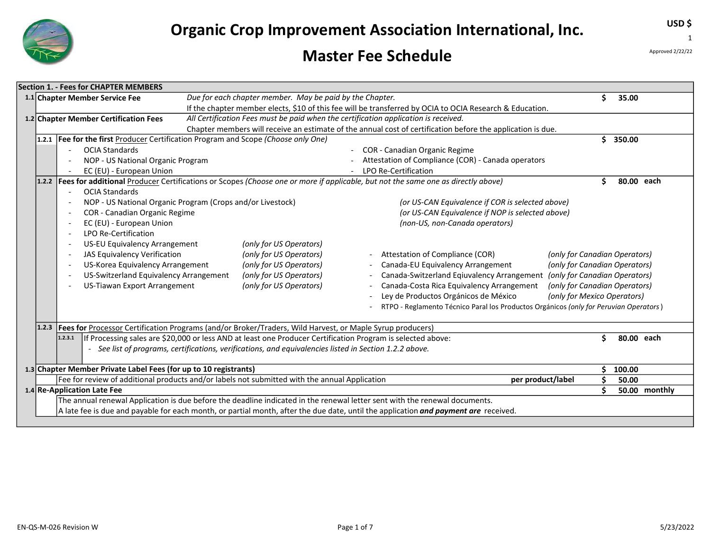

### Master Fee Schedule

Approved 2/22/22

USD \$

1

|                                                                                                                                                                                                                                                                                                                                                                                                                                                                               |                                                                                                                                                                                                                                                                                                                                                                                                                                                                                                                                                                                                                                                                                                                                                                                                                                                                                   | <b>Section 1. - Fees for CHAPTER MEMBERS</b>                                                                                               |  |                                                          |                                                                                                                                                                                                                         |  |  |  |    |            |
|-------------------------------------------------------------------------------------------------------------------------------------------------------------------------------------------------------------------------------------------------------------------------------------------------------------------------------------------------------------------------------------------------------------------------------------------------------------------------------|-----------------------------------------------------------------------------------------------------------------------------------------------------------------------------------------------------------------------------------------------------------------------------------------------------------------------------------------------------------------------------------------------------------------------------------------------------------------------------------------------------------------------------------------------------------------------------------------------------------------------------------------------------------------------------------------------------------------------------------------------------------------------------------------------------------------------------------------------------------------------------------|--------------------------------------------------------------------------------------------------------------------------------------------|--|----------------------------------------------------------|-------------------------------------------------------------------------------------------------------------------------------------------------------------------------------------------------------------------------|--|--|--|----|------------|
|                                                                                                                                                                                                                                                                                                                                                                                                                                                                               |                                                                                                                                                                                                                                                                                                                                                                                                                                                                                                                                                                                                                                                                                                                                                                                                                                                                                   | 1.1 Chapter Member Service Fee                                                                                                             |  | Due for each chapter member. May be paid by the Chapter. |                                                                                                                                                                                                                         |  |  |  |    | 35.00      |
|                                                                                                                                                                                                                                                                                                                                                                                                                                                                               | If the chapter member elects, \$10 of this fee will be transferred by OCIA to OCIA Research & Education.                                                                                                                                                                                                                                                                                                                                                                                                                                                                                                                                                                                                                                                                                                                                                                          |                                                                                                                                            |  |                                                          |                                                                                                                                                                                                                         |  |  |  |    |            |
|                                                                                                                                                                                                                                                                                                                                                                                                                                                                               | All Certification Fees must be paid when the certification application is received.<br>1.2 Chapter Member Certification Fees                                                                                                                                                                                                                                                                                                                                                                                                                                                                                                                                                                                                                                                                                                                                                      |                                                                                                                                            |  |                                                          |                                                                                                                                                                                                                         |  |  |  |    |            |
|                                                                                                                                                                                                                                                                                                                                                                                                                                                                               | Chapter members will receive an estimate of the annual cost of certification before the application is due.                                                                                                                                                                                                                                                                                                                                                                                                                                                                                                                                                                                                                                                                                                                                                                       |                                                                                                                                            |  |                                                          |                                                                                                                                                                                                                         |  |  |  |    |            |
|                                                                                                                                                                                                                                                                                                                                                                                                                                                                               |                                                                                                                                                                                                                                                                                                                                                                                                                                                                                                                                                                                                                                                                                                                                                                                                                                                                                   | 1.2.1   Fee for the first Producer Certification Program and Scope (Choose only One)                                                       |  |                                                          |                                                                                                                                                                                                                         |  |  |  | ς. | 350.00     |
|                                                                                                                                                                                                                                                                                                                                                                                                                                                                               |                                                                                                                                                                                                                                                                                                                                                                                                                                                                                                                                                                                                                                                                                                                                                                                                                                                                                   | <b>OCIA Standards</b><br>COR - Canadian Organic Regime                                                                                     |  |                                                          |                                                                                                                                                                                                                         |  |  |  |    |            |
|                                                                                                                                                                                                                                                                                                                                                                                                                                                                               |                                                                                                                                                                                                                                                                                                                                                                                                                                                                                                                                                                                                                                                                                                                                                                                                                                                                                   | Attestation of Compliance (COR) - Canada operators<br>NOP - US National Organic Program                                                    |  |                                                          |                                                                                                                                                                                                                         |  |  |  |    |            |
|                                                                                                                                                                                                                                                                                                                                                                                                                                                                               |                                                                                                                                                                                                                                                                                                                                                                                                                                                                                                                                                                                                                                                                                                                                                                                                                                                                                   | EC (EU) - European Union<br>LPO Re-Certification                                                                                           |  |                                                          |                                                                                                                                                                                                                         |  |  |  |    |            |
|                                                                                                                                                                                                                                                                                                                                                                                                                                                                               |                                                                                                                                                                                                                                                                                                                                                                                                                                                                                                                                                                                                                                                                                                                                                                                                                                                                                   | 1.2.2 Fees for additional Producer Certifications or Scopes (Choose one or more if applicable, but not the same one as directly above)     |  |                                                          |                                                                                                                                                                                                                         |  |  |  |    | 80.00 each |
|                                                                                                                                                                                                                                                                                                                                                                                                                                                                               | <b>OCIA Standards</b><br>NOP - US National Organic Program (Crops and/or Livestock)<br>(or US-CAN Equivalence if COR is selected above)<br>COR - Canadian Organic Regime<br>(or US-CAN Equivalence if NOP is selected above)<br>EC (EU) - European Union<br>(non-US, non-Canada operators)<br>LPO Re-Certification<br>US-EU Equivalency Arrangement<br>(only for US Operators)<br>JAS Equivalency Verification<br>(only for US Operators)<br>Attestation of Compliance (COR)<br>US-Korea Equivalency Arrangement<br>(only for US Operators)<br>Canada-EU Equivalency Arrangement<br>US-Switzerland Equivalency Arrangement<br>(only for US Operators)<br>Canada-Switzerland Eqiuvalency Arrangement (only for Canadian Operators)<br>Canada-Costa Rica Equivalency Arrangement<br>US-Tiawan Export Arrangement<br>(only for US Operators)<br>Ley de Productos Orgánicos de México |                                                                                                                                            |  |                                                          | (only for Canadian Operators)<br>(only for Canadian Operators)<br>(only for Canadian Operators)<br>(only for Mexico Operators)<br>RTPO - Reglamento Técnico Paral los Productos Orgánicos (only for Peruvian Operators) |  |  |  |    |            |
| Fees for Processor Certification Programs (and/or Broker/Traders, Wild Harvest, or Maple Syrup producers)<br>1.2.3<br>If Processing sales are \$20,000 or less AND at least one Producer Certification Program is selected above:<br>80.00 each<br>1.2.3.1<br>See list of programs, certifications, verifications, and equivalencies listed in Section 1.2.2 above.<br>$\overline{\phantom{0}}$<br>1.3 Chapter Member Private Label Fees (for up to 10 registrants)<br>100.00 |                                                                                                                                                                                                                                                                                                                                                                                                                                                                                                                                                                                                                                                                                                                                                                                                                                                                                   |                                                                                                                                            |  |                                                          |                                                                                                                                                                                                                         |  |  |  |    |            |
| Fee for review of additional products and/or labels not submitted with the annual Application<br>per product/label                                                                                                                                                                                                                                                                                                                                                            |                                                                                                                                                                                                                                                                                                                                                                                                                                                                                                                                                                                                                                                                                                                                                                                                                                                                                   |                                                                                                                                            |  |                                                          |                                                                                                                                                                                                                         |  |  |  |    | 50.00      |
|                                                                                                                                                                                                                                                                                                                                                                                                                                                                               | 1.4 Re-Application Late Fee<br>50.00 monthly                                                                                                                                                                                                                                                                                                                                                                                                                                                                                                                                                                                                                                                                                                                                                                                                                                      |                                                                                                                                            |  |                                                          |                                                                                                                                                                                                                         |  |  |  |    |            |
|                                                                                                                                                                                                                                                                                                                                                                                                                                                                               |                                                                                                                                                                                                                                                                                                                                                                                                                                                                                                                                                                                                                                                                                                                                                                                                                                                                                   | The annual renewal Application is due before the deadline indicated in the renewal letter sent with the renewal documents.                 |  |                                                          |                                                                                                                                                                                                                         |  |  |  |    |            |
|                                                                                                                                                                                                                                                                                                                                                                                                                                                                               |                                                                                                                                                                                                                                                                                                                                                                                                                                                                                                                                                                                                                                                                                                                                                                                                                                                                                   | A late fee is due and payable for each month, or partial month, after the due date, until the application <i>and payment are</i> received. |  |                                                          |                                                                                                                                                                                                                         |  |  |  |    |            |
|                                                                                                                                                                                                                                                                                                                                                                                                                                                                               |                                                                                                                                                                                                                                                                                                                                                                                                                                                                                                                                                                                                                                                                                                                                                                                                                                                                                   |                                                                                                                                            |  |                                                          |                                                                                                                                                                                                                         |  |  |  |    |            |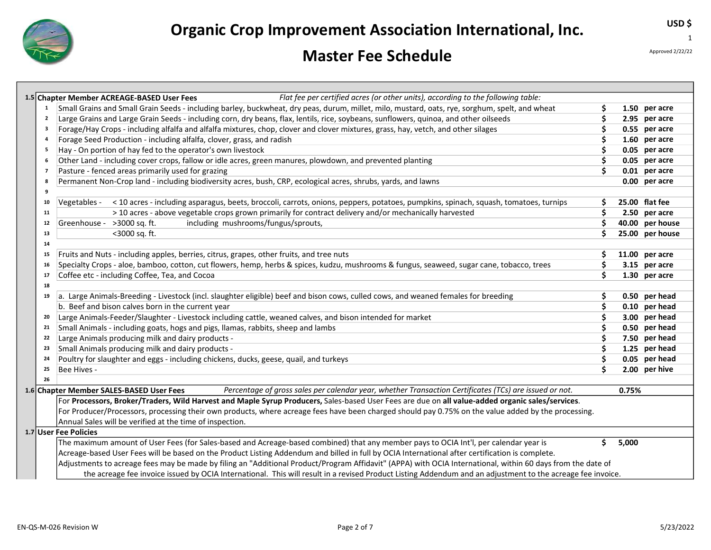

### Master Fee Schedule

Approved 2/22/22

USD \$

|                         | Flat fee per certified acres (or other units), according to the following table:<br>1.5 Chapter Member ACREAGE-BASED User Fees                              |     |       |                 |
|-------------------------|-------------------------------------------------------------------------------------------------------------------------------------------------------------|-----|-------|-----------------|
| 1                       | Small Grains and Small Grain Seeds - including barley, buckwheat, dry peas, durum, millet, milo, mustard, oats, rye, sorghum, spelt, and wheat              | S   |       | 1.50 per acre   |
| $\overline{\mathbf{2}}$ | Large Grains and Large Grain Seeds - including corn, dry beans, flax, lentils, rice, soybeans, sunflowers, quinoa, and other oilseeds                       | S   |       | 2.95 per acre   |
| 3                       | Forage/Hay Crops - including alfalfa and alfalfa mixtures, chop, clover and clover mixtures, grass, hay, vetch, and other silages                           | \$  |       | 0.55 per acre   |
| 4                       | Forage Seed Production - including alfalfa, clover, grass, and radish                                                                                       | \$. |       | 1.60 per acre   |
| - 5                     | Hay - On portion of hay fed to the operator's own livestock                                                                                                 | S   |       | 0.05 per acre   |
| -6                      | Other Land - including cover crops, fallow or idle acres, green manures, plowdown, and prevented planting                                                   | \$. |       | 0.05 per acre   |
| $\overline{7}$          | Pasture - fenced areas primarily used for grazing                                                                                                           | Ś   |       | 0.01 per acre   |
| 8                       | Permanent Non-Crop land - including biodiversity acres, bush, CRP, ecological acres, shrubs, yards, and lawns                                               |     |       | 0.00 per acre   |
| 9                       |                                                                                                                                                             |     |       |                 |
| 10                      | < 10 acres - including asparagus, beets, broccoli, carrots, onions, peppers, potatoes, pumpkins, spinach, squash, tomatoes, turnips<br>Vegetables -         | \$. |       | 25.00 flat fee  |
| 11                      | > 10 acres - above vegetable crops grown primarily for contract delivery and/or mechanically harvested                                                      | Ś   |       | 2.50 per acre   |
| 12                      | Greenhouse - >3000 sq. ft.<br>including mushrooms/fungus/sprouts,                                                                                           | \$  |       | 40.00 per house |
| 13                      | <3000 sq. ft.                                                                                                                                               | Ś   |       | 25.00 per house |
| 14                      |                                                                                                                                                             |     |       |                 |
| 15                      | Fruits and Nuts - including apples, berries, citrus, grapes, other fruits, and tree nuts                                                                    | \$  |       | 11.00 per acre  |
| 16                      | Specialty Crops - aloe, bamboo, cotton, cut flowers, hemp, herbs & spices, kudzu, mushrooms & fungus, seaweed, sugar cane, tobacco, trees                   | \$. |       | 3.15 per acre   |
| 17                      | Coffee etc - including Coffee, Tea, and Cocoa                                                                                                               | \$  |       | 1.30 per acre   |
| 18                      |                                                                                                                                                             |     |       |                 |
| 19                      | a. Large Animals-Breeding - Livestock (incl. slaughter eligible) beef and bison cows, culled cows, and weaned females for breeding                          | \$  |       | 0.50 per head   |
|                         | b. Beef and bison calves born in the current year                                                                                                           | \$  |       | 0.10 per head   |
| 20                      | Large Animals-Feeder/Slaughter - Livestock including cattle, weaned calves, and bison intended for market                                                   | \$  |       | 3.00 per head   |
| 21                      | Small Animals - including goats, hogs and pigs, llamas, rabbits, sheep and lambs                                                                            | \$. |       | 0.50 per head   |
| 22                      | Large Animals producing milk and dairy products -                                                                                                           | \$. |       | 7.50 per head   |
| 23                      | Small Animals producing milk and dairy products -                                                                                                           | \$. |       | 1.25 per head   |
| 24                      | Poultry for slaughter and eggs - including chickens, ducks, geese, quail, and turkeys                                                                       | \$  |       | 0.05 per head   |
| 25                      | Bee Hives -                                                                                                                                                 | Ś   |       | 2.00 per hive   |
| 26                      |                                                                                                                                                             |     |       |                 |
|                         | Percentage of gross sales per calendar year, whether Transaction Certificates (TCs) are issued or not.<br>1.6 Chapter Member SALES-BASED User Fees          |     | 0.75% |                 |
|                         | For Processors, Broker/Traders, Wild Harvest and Maple Syrup Producers, Sales-based User Fees are due on all value-added organic sales/services.            |     |       |                 |
|                         | For Producer/Processors, processing their own products, where acreage fees have been charged should pay 0.75% on the value added by the processing.         |     |       |                 |
|                         | Annual Sales will be verified at the time of inspection.                                                                                                    |     |       |                 |
|                         | 1.7 User Fee Policies                                                                                                                                       |     |       |                 |
|                         | The maximum amount of User Fees (for Sales-based and Acreage-based combined) that any member pays to OCIA Int'l, per calendar year is                       | \$. | 5,000 |                 |
|                         | Acreage-based User Fees will be based on the Product Listing Addendum and billed in full by OCIA International after certification is complete.             |     |       |                 |
|                         | Adjustments to acreage fees may be made by filing an "Additional Product/Program Affidavit" (APPA) with OCIA International, within 60 days from the date of |     |       |                 |
|                         | the acreage fee invoice issued by OCIA International. This will result in a revised Product Listing Addendum and an adjustment to the acreage fee invoice.  |     |       |                 |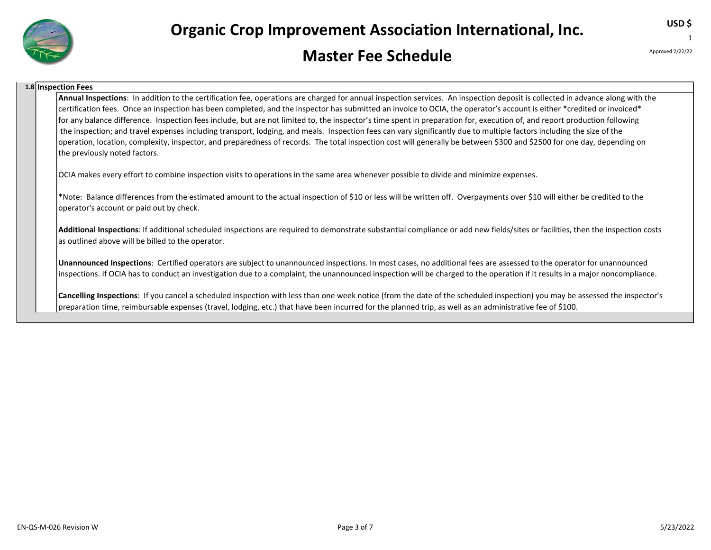

#### Master Fee Schedule

Approved 2/22/22

USD \$ 1

#### 1.8 Inspection Fees

Annual Inspections: In addition to the certification fee, operations are charged for annual inspection services. An inspection deposit is collected in advance along with the certification fees. Once an inspection has been completed, and the inspector has submitted an invoice to OCIA, the operator's account is either \*credited or invoiced\* for any balance difference. Inspection fees include, but are not limited to, the inspector's time spent in preparation for, execution of, and report production following the inspection; and travel expenses including transport, lodging, and meals. Inspection fees can vary significantly due to multiple factors including the size of the operation, location, complexity, inspector, and preparedness of records. The total inspection cost will generally be between \$300 and \$2500 for one day, depending on the previously noted factors.

OCIA makes every effort to combine inspection visits to operations in the same area whenever possible to divide and minimize expenses.

\*Note: Balance differences from the estimated amount to the actual inspection of \$10 or less will be written off. Overpayments over \$10 will either be credited to the operator's account or paid out by check.

Additional Inspections: If additional scheduled inspections are required to demonstrate substantial compliance or add new fields/sites or facilities, then the inspection costs as outlined above will be billed to the operator.

Unannounced Inspections: Certified operators are subject to unannounced inspections. In most cases, no additional fees are assessed to the operator for unannounced inspections. If OCIA has to conduct an investigation due to a complaint, the unannounced inspection will be charged to the operation if it results in a major noncompliance.

Cancelling Inspections: If you cancel a scheduled inspection with less than one week notice (from the date of the scheduled inspection) you may be assessed the inspector's preparation time, reimbursable expenses (travel, lodging, etc.) that have been incurred for the planned trip, as well as an administrative fee of \$100.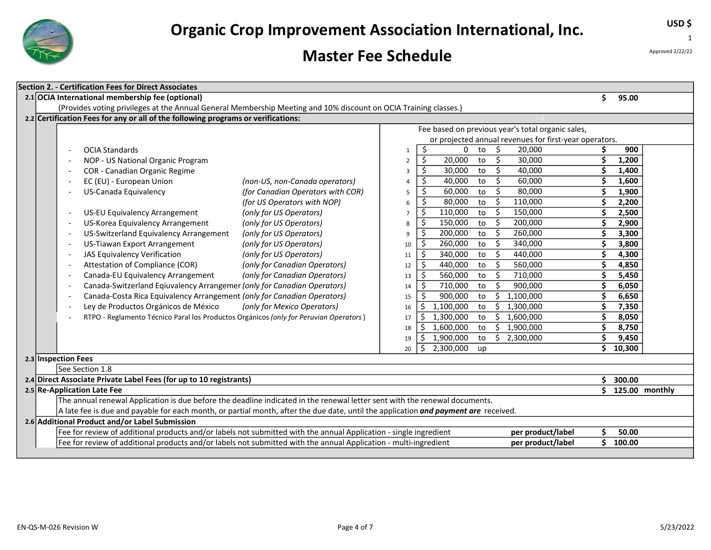

### Master Fee Schedule

USD \$ 1

Approved 2/22/22

| 2.1 OCIA International membership fee (optional)<br>Ś.<br>95.00<br>(Provides voting privileges at the Annual General Membership Meeting and 10% discount on OCIA Training classes.)<br>2.2 Certification Fees for any or all of the following programs or verifications:<br>Fee based on previous year's total organic sales,<br>or projected annual revenues for first-year operators.<br>\$<br>Ŝ.<br>20,000<br>900<br>0<br>to<br><b>OCIA Standards</b><br>$\mathbf{1}$<br>$\overline{\xi}$<br>\$<br>Ś<br>20,000<br>30,000<br>1,200<br>to<br>NOP - US National Organic Program<br>$\overline{2}$<br>\$<br>Ś.<br>Ś<br>40,000<br>1,400<br>COR - Canadian Organic Regime<br>30,000<br>to<br>3<br>\$<br>\$<br>1,600<br>EC (EU) - European Union<br>(non-US, non-Canada operators)<br>40,000<br>60,000<br>to<br>4<br>\$<br>\$<br>US-Canada Equivalency<br>(for Canadian Operators with COR)<br>60,000<br>80,000<br>1,900<br>to<br>5<br>Ŝ.<br>\$<br>80,000<br>Ś<br>2,200<br>(for US Operators with NOP)<br>to<br>110,000<br>6<br>\$<br>\$<br>110,000<br>\$<br>US-EU Equivalency Arrangement<br>(only for US Operators)<br>to<br>150,000<br>2,500<br>$\overline{7}$<br>\$<br>\$<br>Ś<br>US-Korea Equivalency Arrangement<br>150,000<br>200,000<br>2,900<br>(only for US Operators)<br>to<br>8<br>$\overline{\xi}$<br>\$<br>Ś<br>US-Switzerland Equivalency Arrangement<br>200,000<br>260,000<br>3,300<br>(only for US Operators)<br>to<br>9<br>\$<br>\$<br>Ś<br>3,800<br>US-Tiawan Export Arrangement<br>260,000<br>340,000<br>(only for US Operators)<br>to<br>10<br>\$<br>\$<br>Ś<br>340,000<br>440,000<br>JAS Equivalency Verification<br>(only for US Operators)<br>to<br>4,300<br>11<br>\$<br>\$<br>\$<br>Attestation of Compliance (COR)<br>440,000<br>560,000<br>(only for Canadian Operators)<br>to<br>4,850<br>12<br>\$<br>\$<br>\$<br>560,000<br>710,000<br>5,450<br>(only for Canadian Operators)<br>Canada-EU Equivalency Arrangement<br>to<br>13<br>\$<br>Ś<br>Canada-Switzerland Eqiuvalency Arrangemer (only for Canadian Operators)<br>710,000<br>900,000<br>Ś<br>6,050<br>to<br>14<br>Canada-Costa Rica Equivalency Arrangement (only for Canadian Operators)<br>Ŝ.<br>Ś.<br>900,000<br>1,100,000<br>Ś<br>6,650<br>to<br>15<br>Ley de Productos Orgánicos de México<br>(only for Mexico Operators)<br>Ś.<br>1,100,000<br>\$1,300,000<br>Ś<br>7,350<br>to<br>16<br>RTPO - Reglamento Técnico Paral los Productos Orgánicos (only for Peruvian Operators)<br>\$<br>\$1,600,000<br>1,300,000<br>Ś<br>8,050<br>to<br>17<br>1,600,000<br>\$1,900,000<br>\$<br>\$<br>8,750<br>to<br>18<br>Ś<br>\$<br>1,900,000<br>\$2,300,000<br>9,450<br>to<br>19<br>\$<br>Ś<br>10,300<br>2,300,000<br>20<br>up<br>2.3 Inspection Fees<br>See Section 1.8<br>2.4 Direct Associate Private Label Fees (for up to 10 registrants)<br>\$300.00<br>2.5 Re-Application Late Fee<br>\$ 125.00 monthly<br>The annual renewal Application is due before the deadline indicated in the renewal letter sent with the renewal documents.<br>A late fee is due and payable for each month, or partial month, after the due date, until the application <i>and payment are</i> received.<br>2.6 Additional Product and/or Label Submission<br>Fee for review of additional products and/or labels not submitted with the annual Application - single ingredient<br>per product/label<br>Ś<br>50.00 | Section 2. - Certification Fees for Direct Associates                                                            |                   |  |          |  |  |  |  |  |  |  |
|-----------------------------------------------------------------------------------------------------------------------------------------------------------------------------------------------------------------------------------------------------------------------------------------------------------------------------------------------------------------------------------------------------------------------------------------------------------------------------------------------------------------------------------------------------------------------------------------------------------------------------------------------------------------------------------------------------------------------------------------------------------------------------------------------------------------------------------------------------------------------------------------------------------------------------------------------------------------------------------------------------------------------------------------------------------------------------------------------------------------------------------------------------------------------------------------------------------------------------------------------------------------------------------------------------------------------------------------------------------------------------------------------------------------------------------------------------------------------------------------------------------------------------------------------------------------------------------------------------------------------------------------------------------------------------------------------------------------------------------------------------------------------------------------------------------------------------------------------------------------------------------------------------------------------------------------------------------------------------------------------------------------------------------------------------------------------------------------------------------------------------------------------------------------------------------------------------------------------------------------------------------------------------------------------------------------------------------------------------------------------------------------------------------------------------------------------------------------------------------------------------------------------------------------------------------------------------------------------------------------------------------------------------------------------------------------------------------------------------------------------------------------------------------------------------------------------------------------------------------------------------------------------------------------------------------------------------------------------------------------------------------------------------------------------------------------------------------------------------------------------------------------------------------------------------------------------------------------------------------------------------------------------------------------------------------------------------------------------------------------------------|------------------------------------------------------------------------------------------------------------------|-------------------|--|----------|--|--|--|--|--|--|--|
|                                                                                                                                                                                                                                                                                                                                                                                                                                                                                                                                                                                                                                                                                                                                                                                                                                                                                                                                                                                                                                                                                                                                                                                                                                                                                                                                                                                                                                                                                                                                                                                                                                                                                                                                                                                                                                                                                                                                                                                                                                                                                                                                                                                                                                                                                                                                                                                                                                                                                                                                                                                                                                                                                                                                                                                                                                                                                                                                                                                                                                                                                                                                                                                                                                                                                                                                                                             |                                                                                                                  |                   |  |          |  |  |  |  |  |  |  |
|                                                                                                                                                                                                                                                                                                                                                                                                                                                                                                                                                                                                                                                                                                                                                                                                                                                                                                                                                                                                                                                                                                                                                                                                                                                                                                                                                                                                                                                                                                                                                                                                                                                                                                                                                                                                                                                                                                                                                                                                                                                                                                                                                                                                                                                                                                                                                                                                                                                                                                                                                                                                                                                                                                                                                                                                                                                                                                                                                                                                                                                                                                                                                                                                                                                                                                                                                                             |                                                                                                                  |                   |  |          |  |  |  |  |  |  |  |
|                                                                                                                                                                                                                                                                                                                                                                                                                                                                                                                                                                                                                                                                                                                                                                                                                                                                                                                                                                                                                                                                                                                                                                                                                                                                                                                                                                                                                                                                                                                                                                                                                                                                                                                                                                                                                                                                                                                                                                                                                                                                                                                                                                                                                                                                                                                                                                                                                                                                                                                                                                                                                                                                                                                                                                                                                                                                                                                                                                                                                                                                                                                                                                                                                                                                                                                                                                             |                                                                                                                  |                   |  |          |  |  |  |  |  |  |  |
|                                                                                                                                                                                                                                                                                                                                                                                                                                                                                                                                                                                                                                                                                                                                                                                                                                                                                                                                                                                                                                                                                                                                                                                                                                                                                                                                                                                                                                                                                                                                                                                                                                                                                                                                                                                                                                                                                                                                                                                                                                                                                                                                                                                                                                                                                                                                                                                                                                                                                                                                                                                                                                                                                                                                                                                                                                                                                                                                                                                                                                                                                                                                                                                                                                                                                                                                                                             |                                                                                                                  |                   |  |          |  |  |  |  |  |  |  |
|                                                                                                                                                                                                                                                                                                                                                                                                                                                                                                                                                                                                                                                                                                                                                                                                                                                                                                                                                                                                                                                                                                                                                                                                                                                                                                                                                                                                                                                                                                                                                                                                                                                                                                                                                                                                                                                                                                                                                                                                                                                                                                                                                                                                                                                                                                                                                                                                                                                                                                                                                                                                                                                                                                                                                                                                                                                                                                                                                                                                                                                                                                                                                                                                                                                                                                                                                                             |                                                                                                                  |                   |  |          |  |  |  |  |  |  |  |
|                                                                                                                                                                                                                                                                                                                                                                                                                                                                                                                                                                                                                                                                                                                                                                                                                                                                                                                                                                                                                                                                                                                                                                                                                                                                                                                                                                                                                                                                                                                                                                                                                                                                                                                                                                                                                                                                                                                                                                                                                                                                                                                                                                                                                                                                                                                                                                                                                                                                                                                                                                                                                                                                                                                                                                                                                                                                                                                                                                                                                                                                                                                                                                                                                                                                                                                                                                             |                                                                                                                  |                   |  |          |  |  |  |  |  |  |  |
|                                                                                                                                                                                                                                                                                                                                                                                                                                                                                                                                                                                                                                                                                                                                                                                                                                                                                                                                                                                                                                                                                                                                                                                                                                                                                                                                                                                                                                                                                                                                                                                                                                                                                                                                                                                                                                                                                                                                                                                                                                                                                                                                                                                                                                                                                                                                                                                                                                                                                                                                                                                                                                                                                                                                                                                                                                                                                                                                                                                                                                                                                                                                                                                                                                                                                                                                                                             |                                                                                                                  |                   |  |          |  |  |  |  |  |  |  |
|                                                                                                                                                                                                                                                                                                                                                                                                                                                                                                                                                                                                                                                                                                                                                                                                                                                                                                                                                                                                                                                                                                                                                                                                                                                                                                                                                                                                                                                                                                                                                                                                                                                                                                                                                                                                                                                                                                                                                                                                                                                                                                                                                                                                                                                                                                                                                                                                                                                                                                                                                                                                                                                                                                                                                                                                                                                                                                                                                                                                                                                                                                                                                                                                                                                                                                                                                                             |                                                                                                                  |                   |  |          |  |  |  |  |  |  |  |
|                                                                                                                                                                                                                                                                                                                                                                                                                                                                                                                                                                                                                                                                                                                                                                                                                                                                                                                                                                                                                                                                                                                                                                                                                                                                                                                                                                                                                                                                                                                                                                                                                                                                                                                                                                                                                                                                                                                                                                                                                                                                                                                                                                                                                                                                                                                                                                                                                                                                                                                                                                                                                                                                                                                                                                                                                                                                                                                                                                                                                                                                                                                                                                                                                                                                                                                                                                             |                                                                                                                  |                   |  |          |  |  |  |  |  |  |  |
|                                                                                                                                                                                                                                                                                                                                                                                                                                                                                                                                                                                                                                                                                                                                                                                                                                                                                                                                                                                                                                                                                                                                                                                                                                                                                                                                                                                                                                                                                                                                                                                                                                                                                                                                                                                                                                                                                                                                                                                                                                                                                                                                                                                                                                                                                                                                                                                                                                                                                                                                                                                                                                                                                                                                                                                                                                                                                                                                                                                                                                                                                                                                                                                                                                                                                                                                                                             |                                                                                                                  |                   |  |          |  |  |  |  |  |  |  |
|                                                                                                                                                                                                                                                                                                                                                                                                                                                                                                                                                                                                                                                                                                                                                                                                                                                                                                                                                                                                                                                                                                                                                                                                                                                                                                                                                                                                                                                                                                                                                                                                                                                                                                                                                                                                                                                                                                                                                                                                                                                                                                                                                                                                                                                                                                                                                                                                                                                                                                                                                                                                                                                                                                                                                                                                                                                                                                                                                                                                                                                                                                                                                                                                                                                                                                                                                                             |                                                                                                                  |                   |  |          |  |  |  |  |  |  |  |
|                                                                                                                                                                                                                                                                                                                                                                                                                                                                                                                                                                                                                                                                                                                                                                                                                                                                                                                                                                                                                                                                                                                                                                                                                                                                                                                                                                                                                                                                                                                                                                                                                                                                                                                                                                                                                                                                                                                                                                                                                                                                                                                                                                                                                                                                                                                                                                                                                                                                                                                                                                                                                                                                                                                                                                                                                                                                                                                                                                                                                                                                                                                                                                                                                                                                                                                                                                             |                                                                                                                  |                   |  |          |  |  |  |  |  |  |  |
|                                                                                                                                                                                                                                                                                                                                                                                                                                                                                                                                                                                                                                                                                                                                                                                                                                                                                                                                                                                                                                                                                                                                                                                                                                                                                                                                                                                                                                                                                                                                                                                                                                                                                                                                                                                                                                                                                                                                                                                                                                                                                                                                                                                                                                                                                                                                                                                                                                                                                                                                                                                                                                                                                                                                                                                                                                                                                                                                                                                                                                                                                                                                                                                                                                                                                                                                                                             |                                                                                                                  |                   |  |          |  |  |  |  |  |  |  |
|                                                                                                                                                                                                                                                                                                                                                                                                                                                                                                                                                                                                                                                                                                                                                                                                                                                                                                                                                                                                                                                                                                                                                                                                                                                                                                                                                                                                                                                                                                                                                                                                                                                                                                                                                                                                                                                                                                                                                                                                                                                                                                                                                                                                                                                                                                                                                                                                                                                                                                                                                                                                                                                                                                                                                                                                                                                                                                                                                                                                                                                                                                                                                                                                                                                                                                                                                                             |                                                                                                                  |                   |  |          |  |  |  |  |  |  |  |
|                                                                                                                                                                                                                                                                                                                                                                                                                                                                                                                                                                                                                                                                                                                                                                                                                                                                                                                                                                                                                                                                                                                                                                                                                                                                                                                                                                                                                                                                                                                                                                                                                                                                                                                                                                                                                                                                                                                                                                                                                                                                                                                                                                                                                                                                                                                                                                                                                                                                                                                                                                                                                                                                                                                                                                                                                                                                                                                                                                                                                                                                                                                                                                                                                                                                                                                                                                             |                                                                                                                  |                   |  |          |  |  |  |  |  |  |  |
|                                                                                                                                                                                                                                                                                                                                                                                                                                                                                                                                                                                                                                                                                                                                                                                                                                                                                                                                                                                                                                                                                                                                                                                                                                                                                                                                                                                                                                                                                                                                                                                                                                                                                                                                                                                                                                                                                                                                                                                                                                                                                                                                                                                                                                                                                                                                                                                                                                                                                                                                                                                                                                                                                                                                                                                                                                                                                                                                                                                                                                                                                                                                                                                                                                                                                                                                                                             |                                                                                                                  |                   |  |          |  |  |  |  |  |  |  |
|                                                                                                                                                                                                                                                                                                                                                                                                                                                                                                                                                                                                                                                                                                                                                                                                                                                                                                                                                                                                                                                                                                                                                                                                                                                                                                                                                                                                                                                                                                                                                                                                                                                                                                                                                                                                                                                                                                                                                                                                                                                                                                                                                                                                                                                                                                                                                                                                                                                                                                                                                                                                                                                                                                                                                                                                                                                                                                                                                                                                                                                                                                                                                                                                                                                                                                                                                                             |                                                                                                                  |                   |  |          |  |  |  |  |  |  |  |
|                                                                                                                                                                                                                                                                                                                                                                                                                                                                                                                                                                                                                                                                                                                                                                                                                                                                                                                                                                                                                                                                                                                                                                                                                                                                                                                                                                                                                                                                                                                                                                                                                                                                                                                                                                                                                                                                                                                                                                                                                                                                                                                                                                                                                                                                                                                                                                                                                                                                                                                                                                                                                                                                                                                                                                                                                                                                                                                                                                                                                                                                                                                                                                                                                                                                                                                                                                             |                                                                                                                  |                   |  |          |  |  |  |  |  |  |  |
|                                                                                                                                                                                                                                                                                                                                                                                                                                                                                                                                                                                                                                                                                                                                                                                                                                                                                                                                                                                                                                                                                                                                                                                                                                                                                                                                                                                                                                                                                                                                                                                                                                                                                                                                                                                                                                                                                                                                                                                                                                                                                                                                                                                                                                                                                                                                                                                                                                                                                                                                                                                                                                                                                                                                                                                                                                                                                                                                                                                                                                                                                                                                                                                                                                                                                                                                                                             |                                                                                                                  |                   |  |          |  |  |  |  |  |  |  |
|                                                                                                                                                                                                                                                                                                                                                                                                                                                                                                                                                                                                                                                                                                                                                                                                                                                                                                                                                                                                                                                                                                                                                                                                                                                                                                                                                                                                                                                                                                                                                                                                                                                                                                                                                                                                                                                                                                                                                                                                                                                                                                                                                                                                                                                                                                                                                                                                                                                                                                                                                                                                                                                                                                                                                                                                                                                                                                                                                                                                                                                                                                                                                                                                                                                                                                                                                                             |                                                                                                                  |                   |  |          |  |  |  |  |  |  |  |
|                                                                                                                                                                                                                                                                                                                                                                                                                                                                                                                                                                                                                                                                                                                                                                                                                                                                                                                                                                                                                                                                                                                                                                                                                                                                                                                                                                                                                                                                                                                                                                                                                                                                                                                                                                                                                                                                                                                                                                                                                                                                                                                                                                                                                                                                                                                                                                                                                                                                                                                                                                                                                                                                                                                                                                                                                                                                                                                                                                                                                                                                                                                                                                                                                                                                                                                                                                             |                                                                                                                  |                   |  |          |  |  |  |  |  |  |  |
|                                                                                                                                                                                                                                                                                                                                                                                                                                                                                                                                                                                                                                                                                                                                                                                                                                                                                                                                                                                                                                                                                                                                                                                                                                                                                                                                                                                                                                                                                                                                                                                                                                                                                                                                                                                                                                                                                                                                                                                                                                                                                                                                                                                                                                                                                                                                                                                                                                                                                                                                                                                                                                                                                                                                                                                                                                                                                                                                                                                                                                                                                                                                                                                                                                                                                                                                                                             |                                                                                                                  |                   |  |          |  |  |  |  |  |  |  |
|                                                                                                                                                                                                                                                                                                                                                                                                                                                                                                                                                                                                                                                                                                                                                                                                                                                                                                                                                                                                                                                                                                                                                                                                                                                                                                                                                                                                                                                                                                                                                                                                                                                                                                                                                                                                                                                                                                                                                                                                                                                                                                                                                                                                                                                                                                                                                                                                                                                                                                                                                                                                                                                                                                                                                                                                                                                                                                                                                                                                                                                                                                                                                                                                                                                                                                                                                                             |                                                                                                                  |                   |  |          |  |  |  |  |  |  |  |
|                                                                                                                                                                                                                                                                                                                                                                                                                                                                                                                                                                                                                                                                                                                                                                                                                                                                                                                                                                                                                                                                                                                                                                                                                                                                                                                                                                                                                                                                                                                                                                                                                                                                                                                                                                                                                                                                                                                                                                                                                                                                                                                                                                                                                                                                                                                                                                                                                                                                                                                                                                                                                                                                                                                                                                                                                                                                                                                                                                                                                                                                                                                                                                                                                                                                                                                                                                             |                                                                                                                  |                   |  |          |  |  |  |  |  |  |  |
|                                                                                                                                                                                                                                                                                                                                                                                                                                                                                                                                                                                                                                                                                                                                                                                                                                                                                                                                                                                                                                                                                                                                                                                                                                                                                                                                                                                                                                                                                                                                                                                                                                                                                                                                                                                                                                                                                                                                                                                                                                                                                                                                                                                                                                                                                                                                                                                                                                                                                                                                                                                                                                                                                                                                                                                                                                                                                                                                                                                                                                                                                                                                                                                                                                                                                                                                                                             |                                                                                                                  |                   |  |          |  |  |  |  |  |  |  |
|                                                                                                                                                                                                                                                                                                                                                                                                                                                                                                                                                                                                                                                                                                                                                                                                                                                                                                                                                                                                                                                                                                                                                                                                                                                                                                                                                                                                                                                                                                                                                                                                                                                                                                                                                                                                                                                                                                                                                                                                                                                                                                                                                                                                                                                                                                                                                                                                                                                                                                                                                                                                                                                                                                                                                                                                                                                                                                                                                                                                                                                                                                                                                                                                                                                                                                                                                                             |                                                                                                                  |                   |  |          |  |  |  |  |  |  |  |
|                                                                                                                                                                                                                                                                                                                                                                                                                                                                                                                                                                                                                                                                                                                                                                                                                                                                                                                                                                                                                                                                                                                                                                                                                                                                                                                                                                                                                                                                                                                                                                                                                                                                                                                                                                                                                                                                                                                                                                                                                                                                                                                                                                                                                                                                                                                                                                                                                                                                                                                                                                                                                                                                                                                                                                                                                                                                                                                                                                                                                                                                                                                                                                                                                                                                                                                                                                             |                                                                                                                  |                   |  |          |  |  |  |  |  |  |  |
|                                                                                                                                                                                                                                                                                                                                                                                                                                                                                                                                                                                                                                                                                                                                                                                                                                                                                                                                                                                                                                                                                                                                                                                                                                                                                                                                                                                                                                                                                                                                                                                                                                                                                                                                                                                                                                                                                                                                                                                                                                                                                                                                                                                                                                                                                                                                                                                                                                                                                                                                                                                                                                                                                                                                                                                                                                                                                                                                                                                                                                                                                                                                                                                                                                                                                                                                                                             |                                                                                                                  |                   |  |          |  |  |  |  |  |  |  |
|                                                                                                                                                                                                                                                                                                                                                                                                                                                                                                                                                                                                                                                                                                                                                                                                                                                                                                                                                                                                                                                                                                                                                                                                                                                                                                                                                                                                                                                                                                                                                                                                                                                                                                                                                                                                                                                                                                                                                                                                                                                                                                                                                                                                                                                                                                                                                                                                                                                                                                                                                                                                                                                                                                                                                                                                                                                                                                                                                                                                                                                                                                                                                                                                                                                                                                                                                                             |                                                                                                                  |                   |  |          |  |  |  |  |  |  |  |
|                                                                                                                                                                                                                                                                                                                                                                                                                                                                                                                                                                                                                                                                                                                                                                                                                                                                                                                                                                                                                                                                                                                                                                                                                                                                                                                                                                                                                                                                                                                                                                                                                                                                                                                                                                                                                                                                                                                                                                                                                                                                                                                                                                                                                                                                                                                                                                                                                                                                                                                                                                                                                                                                                                                                                                                                                                                                                                                                                                                                                                                                                                                                                                                                                                                                                                                                                                             |                                                                                                                  |                   |  |          |  |  |  |  |  |  |  |
|                                                                                                                                                                                                                                                                                                                                                                                                                                                                                                                                                                                                                                                                                                                                                                                                                                                                                                                                                                                                                                                                                                                                                                                                                                                                                                                                                                                                                                                                                                                                                                                                                                                                                                                                                                                                                                                                                                                                                                                                                                                                                                                                                                                                                                                                                                                                                                                                                                                                                                                                                                                                                                                                                                                                                                                                                                                                                                                                                                                                                                                                                                                                                                                                                                                                                                                                                                             |                                                                                                                  |                   |  |          |  |  |  |  |  |  |  |
|                                                                                                                                                                                                                                                                                                                                                                                                                                                                                                                                                                                                                                                                                                                                                                                                                                                                                                                                                                                                                                                                                                                                                                                                                                                                                                                                                                                                                                                                                                                                                                                                                                                                                                                                                                                                                                                                                                                                                                                                                                                                                                                                                                                                                                                                                                                                                                                                                                                                                                                                                                                                                                                                                                                                                                                                                                                                                                                                                                                                                                                                                                                                                                                                                                                                                                                                                                             |                                                                                                                  |                   |  |          |  |  |  |  |  |  |  |
|                                                                                                                                                                                                                                                                                                                                                                                                                                                                                                                                                                                                                                                                                                                                                                                                                                                                                                                                                                                                                                                                                                                                                                                                                                                                                                                                                                                                                                                                                                                                                                                                                                                                                                                                                                                                                                                                                                                                                                                                                                                                                                                                                                                                                                                                                                                                                                                                                                                                                                                                                                                                                                                                                                                                                                                                                                                                                                                                                                                                                                                                                                                                                                                                                                                                                                                                                                             |                                                                                                                  |                   |  |          |  |  |  |  |  |  |  |
|                                                                                                                                                                                                                                                                                                                                                                                                                                                                                                                                                                                                                                                                                                                                                                                                                                                                                                                                                                                                                                                                                                                                                                                                                                                                                                                                                                                                                                                                                                                                                                                                                                                                                                                                                                                                                                                                                                                                                                                                                                                                                                                                                                                                                                                                                                                                                                                                                                                                                                                                                                                                                                                                                                                                                                                                                                                                                                                                                                                                                                                                                                                                                                                                                                                                                                                                                                             | Fee for review of additional products and/or labels not submitted with the annual Application - multi-ingredient | per product/label |  | \$100.00 |  |  |  |  |  |  |  |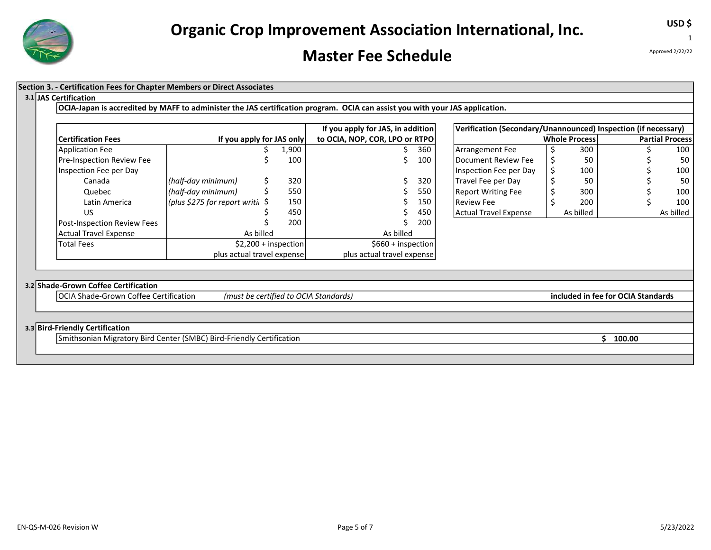

#### Master Fee Schedule

1

USD \$

#### Section 3. - Certification Fees for Chapter Members or Direct Associates

#### 3.1 JAS Certification

OCIA-Japan is accredited by MAFF to administer the JAS certification program. OCIA can assist you with your JAS application.

|                                    |                                            |       | If you apply for JAS, in addition |     | Verification (Secondary/Unannounced) Inspection (if necessary) |                      |                        |
|------------------------------------|--------------------------------------------|-------|-----------------------------------|-----|----------------------------------------------------------------|----------------------|------------------------|
| <b>Certification Fees</b>          | If you apply for JAS only                  |       | to OCIA, NOP, COR, LPO or RTPO    |     |                                                                | <b>Whole Process</b> | <b>Partial Process</b> |
| Application Fee                    |                                            | 1,900 |                                   | 360 | Arrangement Fee                                                | 300                  | 100                    |
| <b>Pre-Inspection Review Fee</b>   |                                            | 100   |                                   | 100 | Document Review Fee                                            | 50                   | 50                     |
| Inspection Fee per Day             |                                            |       |                                   |     | Inspection Fee per Day                                         | 100                  | 100                    |
| Canada                             | $(half-day minimum)$                       | 320   |                                   | 320 | Travel Fee per Day                                             | 50                   | -50                    |
| Quebec                             | (half-day minimum)                         | 550   |                                   | 550 | Report Writing Fee                                             | 300                  | 100                    |
| Latin America                      | (plus \$275 for report writi $\frac{1}{2}$ | 150   |                                   | 150 | <b>Review Fee</b>                                              | 200                  | 100                    |
| US                                 |                                            | 450   |                                   | 450 | Actual Travel Expense                                          | As billed            | As billed              |
| <b>Post-Inspection Review Fees</b> |                                            | 200   |                                   | 200 |                                                                |                      |                        |
| Actual Travel Expense              | As billed                                  |       | As billed                         |     |                                                                |                      |                        |
| <b>Total Fees</b>                  | $$2,200 + inspection$                      |       | $$660 + inspection$               |     |                                                                |                      |                        |
|                                    | plus actual travel expense                 |       | plus actual travel expense        |     |                                                                |                      |                        |

| If you apply for JAS, in addition |     | Verification (Secondary/Unannounced) Inspection (if necessary) |                        |           |  |  |           |  |  |
|-----------------------------------|-----|----------------------------------------------------------------|------------------------|-----------|--|--|-----------|--|--|
| OCIA, NOP, COR, LPO or RTPO       |     | <b>Whole Process</b>                                           | <b>Partial Process</b> |           |  |  |           |  |  |
|                                   | 360 | Arrangement Fee                                                |                        | 300       |  |  | 100       |  |  |
|                                   | 100 | Document Review Fee                                            |                        | 50        |  |  | 50        |  |  |
|                                   |     | Inspection Fee per Day                                         |                        | 100       |  |  | 100       |  |  |
|                                   | 320 | Travel Fee per Day                                             |                        | 50        |  |  | 50        |  |  |
|                                   | 550 | Report Writing Fee                                             |                        | 300       |  |  | 100       |  |  |
|                                   | 150 | l Review Fee                                                   |                        | 200       |  |  | 100       |  |  |
|                                   | 450 | Actual Travel Expense                                          |                        | As billed |  |  | As billed |  |  |
|                                   | --- |                                                                |                        |           |  |  |           |  |  |

#### 3.2 Shade-Grown Coffee Certification

OCIA Shade-Grown Coffee Certification (must be certified to OCIA Standards) included in fee for OCIA Standards

#### 3.3 Bird-Friendly Certification

Smithsonian Migratory Bird Center (SMBC) Bird-Friendly Certification **\$ 100.00** \$ 100.00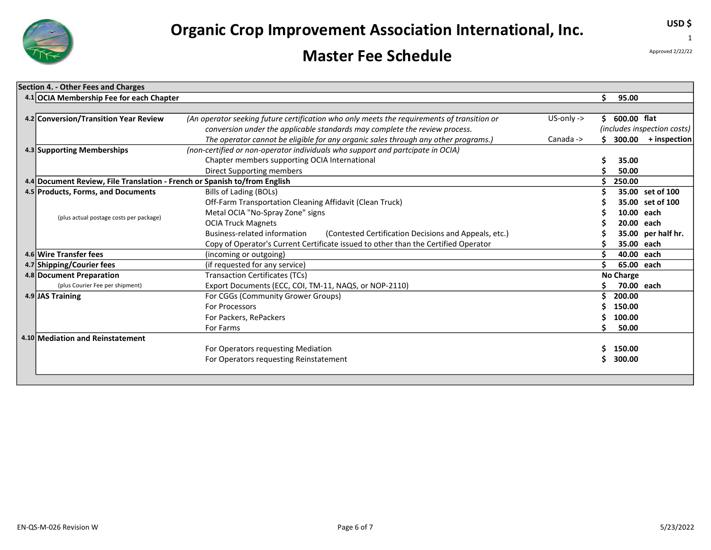

### Master Fee Schedule

Approved 2/22/22

USD \$

1

| Section 4. - Other Fees and Charges                                       |                                                                                            |              |    |                  |                             |
|---------------------------------------------------------------------------|--------------------------------------------------------------------------------------------|--------------|----|------------------|-----------------------------|
| 4.1 OCIA Membership Fee for each Chapter                                  |                                                                                            |              | \$ | 95.00            |                             |
|                                                                           |                                                                                            |              |    |                  |                             |
| 4.2 Conversion/Transition Year Review                                     | (An operator seeking future certification who only meets the requirements of transition or | $US-only ->$ | Ś. | 600.00 flat      |                             |
|                                                                           | conversion under the applicable standards may complete the review process.                 |              |    |                  | (includes inspection costs) |
|                                                                           | The operator cannot be eligible for any organic sales through any other programs.)         | Canada ->    |    |                  | $300.00$ + inspection       |
| 4.3 Supporting Memberships                                                | (non-certified or non-operator individuals who support and partcipate in OCIA)             |              |    |                  |                             |
|                                                                           | Chapter members supporting OCIA International                                              |              |    | 35.00            |                             |
|                                                                           | Direct Supporting members                                                                  |              |    | 50.00            |                             |
| 4.4 Document Review, File Translation - French or Spanish to/from English |                                                                                            |              |    | 250.00           |                             |
| 4.5 Products, Forms, and Documents                                        | Bills of Lading (BOLs)                                                                     |              |    |                  | 35.00 set of 100            |
|                                                                           | Off-Farm Transportation Cleaning Affidavit (Clean Truck)                                   |              |    |                  | 35.00 set of 100            |
| (plus actual postage costs per package)                                   | Metal OCIA "No-Spray Zone" signs                                                           |              |    | 10.00 each       |                             |
|                                                                           | <b>OCIA Truck Magnets</b>                                                                  |              |    | 20.00 each       |                             |
|                                                                           | Business-related information<br>(Contested Certification Decisions and Appeals, etc.)      |              |    |                  | 35.00 per half hr.          |
|                                                                           | Copy of Operator's Current Certificate issued to other than the Certified Operator         |              |    | 35.00 each       |                             |
| 4.6 Wire Transfer fees                                                    | (incoming or outgoing)                                                                     |              |    | 40.00 each       |                             |
| 4.7 Shipping/Courier fees                                                 | (if requested for any service)                                                             |              |    | 65.00 each       |                             |
| 4.8 Document Preparation                                                  | <b>Transaction Certificates (TCs)</b>                                                      |              |    | <b>No Charge</b> |                             |
| (plus Courier Fee per shipment)                                           | Export Documents (ECC, COI, TM-11, NAQS, or NOP-2110)                                      |              |    | 70.00 each       |                             |
| 4.9 JAS Training                                                          | For CGGs (Community Grower Groups)                                                         |              |    | 200.00           |                             |
|                                                                           | For Processors                                                                             |              |    | 150.00           |                             |
|                                                                           | For Packers, RePackers                                                                     |              |    | 100.00           |                             |
|                                                                           | For Farms                                                                                  |              |    | 50.00            |                             |
| 4.10 Mediation and Reinstatement                                          |                                                                                            |              |    |                  |                             |
|                                                                           | For Operators requesting Mediation                                                         |              |    | 150.00           |                             |
|                                                                           | For Operators requesting Reinstatement                                                     |              |    | 300.00           |                             |
|                                                                           |                                                                                            |              |    |                  |                             |
|                                                                           |                                                                                            |              |    |                  |                             |